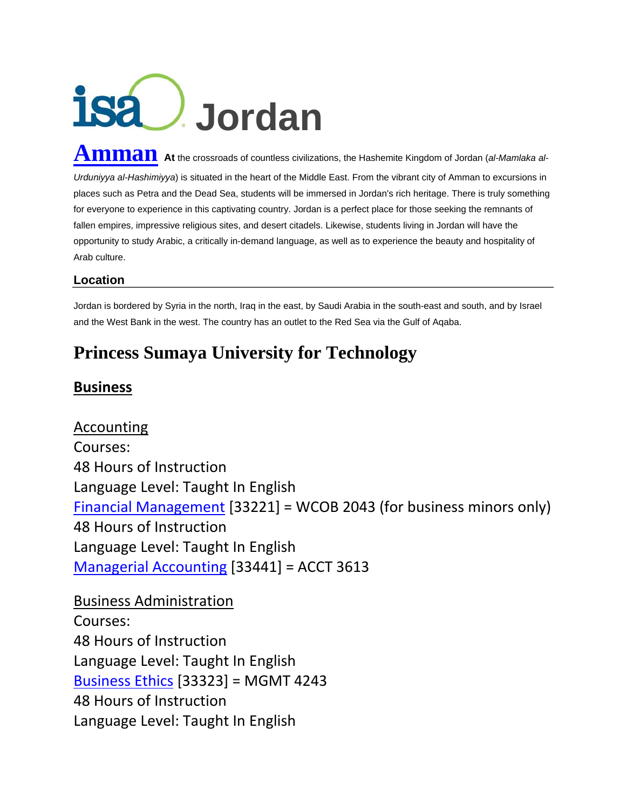## **Jordan**

 $\bf{Ammaan}$   $\bf{a}$ t the crossroads of countless civilizations, the Hashemite Kingdom of Jordan (*al-Mamlaka al-Urduniyya al-Hashimiyya*) is situated in the heart of the Middle East. From the vibrant city of Amman to excursions in places such as Petra and the Dead Sea, students will be immersed in Jordan's rich heritage. There is truly something for everyone to experience in this captivating country. Jordan is a perfect place for those seeking the remnants of fallen empires, impressive religious sites, and desert citadels. Likewise, students living in Jordan will have the opportunity to study Arabic, a critically in-demand language, as well as to experience the beauty and hospitality of Arab culture.

## **Location**

Jordan is bordered by Syria in the north, Iraq in the east, by Saudi Arabia in the south-east and south, and by Israel and the West Bank in the west. The country has an outlet to the Red Sea via the Gulf of Aqaba.

## **Princess Sumaya University for Technology**

## **Business**

Accounting Courses: 48 Hours of Instruction Language Level: Taught In English Financial Management [33221] = WCOB 2043 (for business minors only) 48 Hours of Instruction Language Level: Taught In English Managerial Accounting [33441] = ACCT 3613

Business Administration Courses: 48 Hours of Instruction Language Level: Taught In English Business Ethics [33323] = MGMT 4243 48 Hours of Instruction Language Level: Taught In English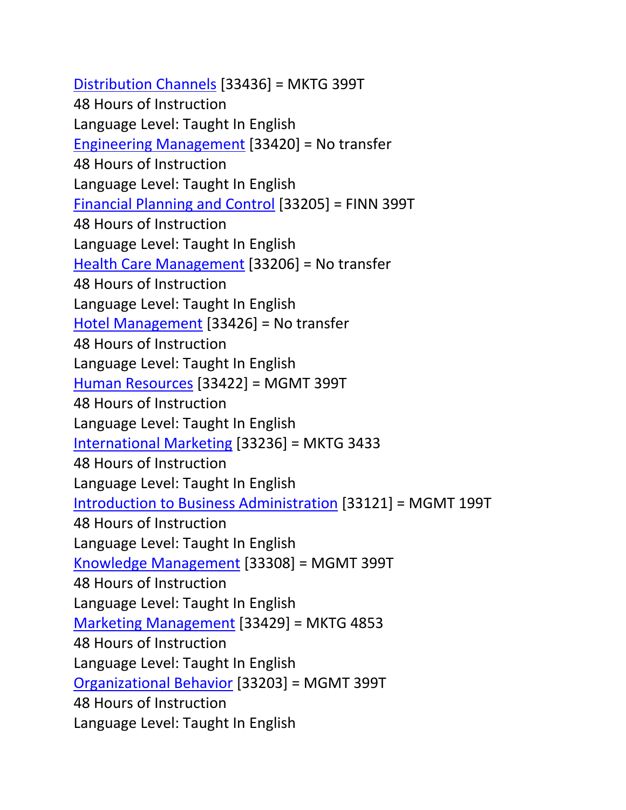Distribution Channels [33436] = MKTG 399T 48 Hours of Instruction Language Level: Taught In English Engineering Management [33420] = No transfer 48 Hours of Instruction Language Level: Taught In English Financial Planning and Control [33205] = FINN 399T 48 Hours of Instruction Language Level: Taught In English Health Care Management [33206] = No transfer 48 Hours of Instruction Language Level: Taught In English Hotel Management [33426] = No transfer 48 Hours of Instruction Language Level: Taught In English Human Resources [33422] = MGMT 399T 48 Hours of Instruction Language Level: Taught In English International Marketing [33236] = MKTG 3433 48 Hours of Instruction Language Level: Taught In English Introduction to Business Administration [33121] = MGMT 199T 48 Hours of Instruction Language Level: Taught In English Knowledge Management [33308] = MGMT 399T 48 Hours of Instruction Language Level: Taught In English Marketing Management [33429] = MKTG 4853 48 Hours of Instruction Language Level: Taught In English Organizational Behavior [33203] = MGMT 399T 48 Hours of Instruction Language Level: Taught In English